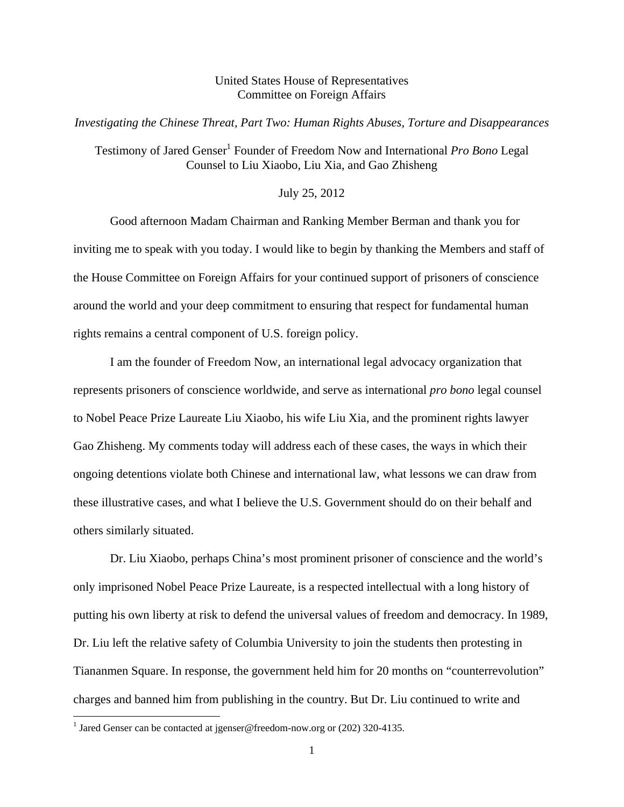## United States House of Representatives Committee on Foreign Affairs

*Investigating the Chinese Threat, Part Two: Human Rights Abuses, Torture and Disappearances*

## Testimony of Jared Genser<sup>1</sup> Founder of Freedom Now and International Pro Bono Legal Counsel to Liu Xiaobo, Liu Xia, and Gao Zhisheng

## July 25, 2012

Good afternoon Madam Chairman and Ranking Member Berman and thank you for inviting me to speak with you today. I would like to begin by thanking the Members and staff of the House Committee on Foreign Affairs for your continued support of prisoners of conscience around the world and your deep commitment to ensuring that respect for fundamental human rights remains a central component of U.S. foreign policy.

 I am the founder of Freedom Now, an international legal advocacy organization that represents prisoners of conscience worldwide, and serve as international *pro bono* legal counsel to Nobel Peace Prize Laureate Liu Xiaobo, his wife Liu Xia, and the prominent rights lawyer Gao Zhisheng. My comments today will address each of these cases, the ways in which their ongoing detentions violate both Chinese and international law, what lessons we can draw from these illustrative cases, and what I believe the U.S. Government should do on their behalf and others similarly situated.

Dr. Liu Xiaobo, perhaps China's most prominent prisoner of conscience and the world's only imprisoned Nobel Peace Prize Laureate, is a respected intellectual with a long history of putting his own liberty at risk to defend the universal values of freedom and democracy. In 1989, Dr. Liu left the relative safety of Columbia University to join the students then protesting in Tiananmen Square. In response, the government held him for 20 months on "counterrevolution" charges and banned him from publishing in the country. But Dr. Liu continued to write and

<sup>&</sup>lt;sup>1</sup> Jared Genser can be contacted at jgenser@freedom-now.org or (202) 320-4135.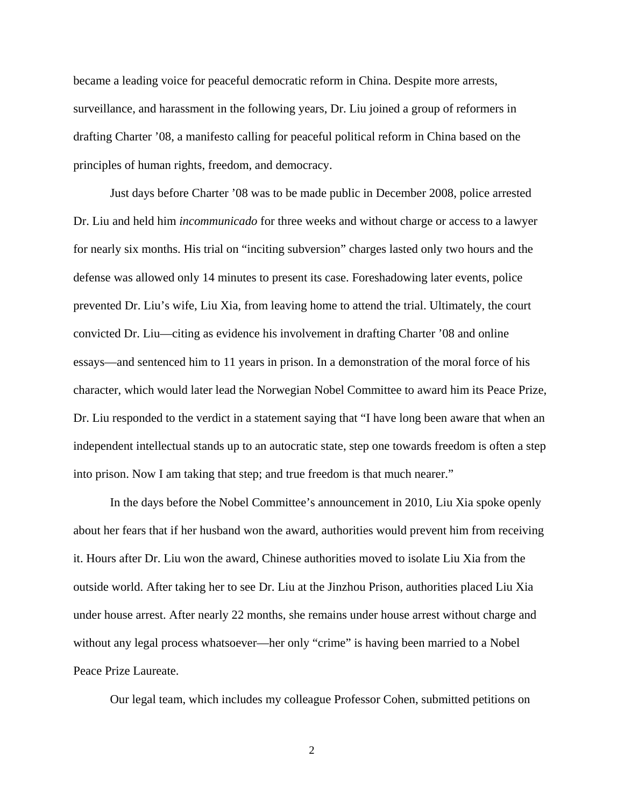became a leading voice for peaceful democratic reform in China. Despite more arrests, surveillance, and harassment in the following years, Dr. Liu joined a group of reformers in drafting Charter '08, a manifesto calling for peaceful political reform in China based on the principles of human rights, freedom, and democracy.

 Just days before Charter '08 was to be made public in December 2008, police arrested Dr. Liu and held him *incommunicado* for three weeks and without charge or access to a lawyer for nearly six months. His trial on "inciting subversion" charges lasted only two hours and the defense was allowed only 14 minutes to present its case. Foreshadowing later events, police prevented Dr. Liu's wife, Liu Xia, from leaving home to attend the trial. Ultimately, the court convicted Dr. Liu—citing as evidence his involvement in drafting Charter '08 and online essays—and sentenced him to 11 years in prison. In a demonstration of the moral force of his character, which would later lead the Norwegian Nobel Committee to award him its Peace Prize, Dr. Liu responded to the verdict in a statement saying that "I have long been aware that when an independent intellectual stands up to an autocratic state, step one towards freedom is often a step into prison. Now I am taking that step; and true freedom is that much nearer."

In the days before the Nobel Committee's announcement in 2010, Liu Xia spoke openly about her fears that if her husband won the award, authorities would prevent him from receiving it. Hours after Dr. Liu won the award, Chinese authorities moved to isolate Liu Xia from the outside world. After taking her to see Dr. Liu at the Jinzhou Prison, authorities placed Liu Xia under house arrest. After nearly 22 months, she remains under house arrest without charge and without any legal process whatsoever—her only "crime" is having been married to a Nobel Peace Prize Laureate.

Our legal team, which includes my colleague Professor Cohen, submitted petitions on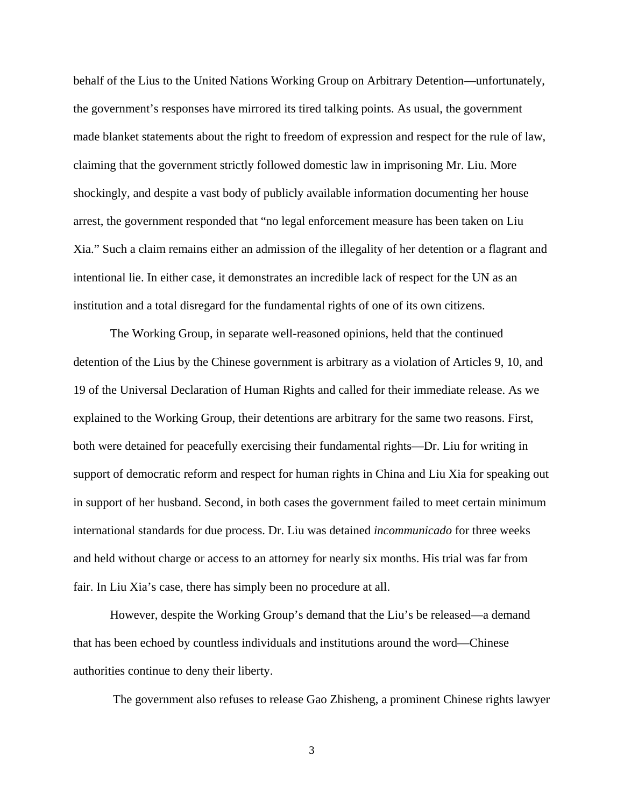behalf of the Lius to the United Nations Working Group on Arbitrary Detention—unfortunately, the government's responses have mirrored its tired talking points. As usual, the government made blanket statements about the right to freedom of expression and respect for the rule of law, claiming that the government strictly followed domestic law in imprisoning Mr. Liu. More shockingly, and despite a vast body of publicly available information documenting her house arrest, the government responded that "no legal enforcement measure has been taken on Liu Xia." Such a claim remains either an admission of the illegality of her detention or a flagrant and intentional lie. In either case, it demonstrates an incredible lack of respect for the UN as an institution and a total disregard for the fundamental rights of one of its own citizens.

 The Working Group, in separate well-reasoned opinions, held that the continued detention of the Lius by the Chinese government is arbitrary as a violation of Articles 9, 10, and 19 of the Universal Declaration of Human Rights and called for their immediate release. As we explained to the Working Group, their detentions are arbitrary for the same two reasons. First, both were detained for peacefully exercising their fundamental rights—Dr. Liu for writing in support of democratic reform and respect for human rights in China and Liu Xia for speaking out in support of her husband. Second, in both cases the government failed to meet certain minimum international standards for due process. Dr. Liu was detained *incommunicado* for three weeks and held without charge or access to an attorney for nearly six months. His trial was far from fair. In Liu Xia's case, there has simply been no procedure at all.

 However, despite the Working Group's demand that the Liu's be released—a demand that has been echoed by countless individuals and institutions around the word—Chinese authorities continue to deny their liberty.

The government also refuses to release Gao Zhisheng, a prominent Chinese rights lawyer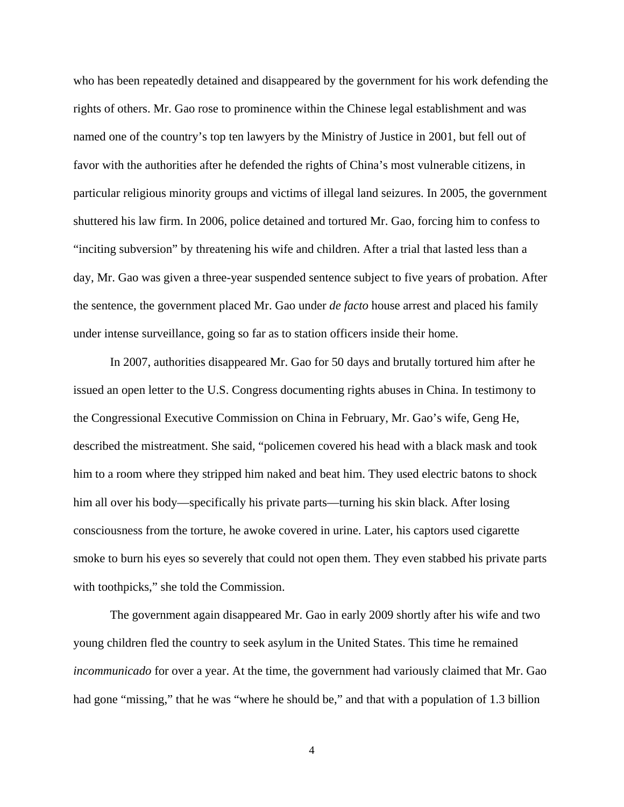who has been repeatedly detained and disappeared by the government for his work defending the rights of others. Mr. Gao rose to prominence within the Chinese legal establishment and was named one of the country's top ten lawyers by the Ministry of Justice in 2001, but fell out of favor with the authorities after he defended the rights of China's most vulnerable citizens, in particular religious minority groups and victims of illegal land seizures. In 2005, the government shuttered his law firm. In 2006, police detained and tortured Mr. Gao, forcing him to confess to "inciting subversion" by threatening his wife and children. After a trial that lasted less than a day, Mr. Gao was given a three-year suspended sentence subject to five years of probation. After the sentence, the government placed Mr. Gao under *de facto* house arrest and placed his family under intense surveillance, going so far as to station officers inside their home.

 In 2007, authorities disappeared Mr. Gao for 50 days and brutally tortured him after he issued an open letter to the U.S. Congress documenting rights abuses in China. In testimony to the Congressional Executive Commission on China in February, Mr. Gao's wife, Geng He, described the mistreatment. She said, "policemen covered his head with a black mask and took him to a room where they stripped him naked and beat him. They used electric batons to shock him all over his body—specifically his private parts—turning his skin black. After losing consciousness from the torture, he awoke covered in urine. Later, his captors used cigarette smoke to burn his eyes so severely that could not open them. They even stabbed his private parts with toothpicks," she told the Commission.

The government again disappeared Mr. Gao in early 2009 shortly after his wife and two young children fled the country to seek asylum in the United States. This time he remained *incommunicado* for over a year. At the time, the government had variously claimed that Mr. Gao had gone "missing," that he was "where he should be," and that with a population of 1.3 billion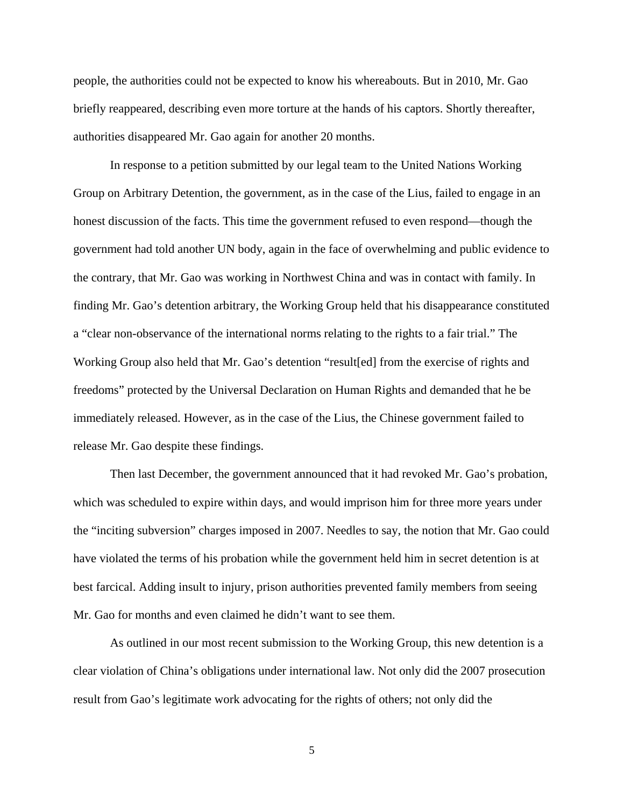people, the authorities could not be expected to know his whereabouts. But in 2010, Mr. Gao briefly reappeared, describing even more torture at the hands of his captors. Shortly thereafter, authorities disappeared Mr. Gao again for another 20 months.

In response to a petition submitted by our legal team to the United Nations Working Group on Arbitrary Detention, the government, as in the case of the Lius, failed to engage in an honest discussion of the facts. This time the government refused to even respond—though the government had told another UN body, again in the face of overwhelming and public evidence to the contrary, that Mr. Gao was working in Northwest China and was in contact with family. In finding Mr. Gao's detention arbitrary, the Working Group held that his disappearance constituted a "clear non-observance of the international norms relating to the rights to a fair trial." The Working Group also held that Mr. Gao's detention "result[ed] from the exercise of rights and freedoms" protected by the Universal Declaration on Human Rights and demanded that he be immediately released. However, as in the case of the Lius, the Chinese government failed to release Mr. Gao despite these findings.

 Then last December, the government announced that it had revoked Mr. Gao's probation, which was scheduled to expire within days, and would imprison him for three more years under the "inciting subversion" charges imposed in 2007. Needles to say, the notion that Mr. Gao could have violated the terms of his probation while the government held him in secret detention is at best farcical. Adding insult to injury, prison authorities prevented family members from seeing Mr. Gao for months and even claimed he didn't want to see them.

As outlined in our most recent submission to the Working Group, this new detention is a clear violation of China's obligations under international law. Not only did the 2007 prosecution result from Gao's legitimate work advocating for the rights of others; not only did the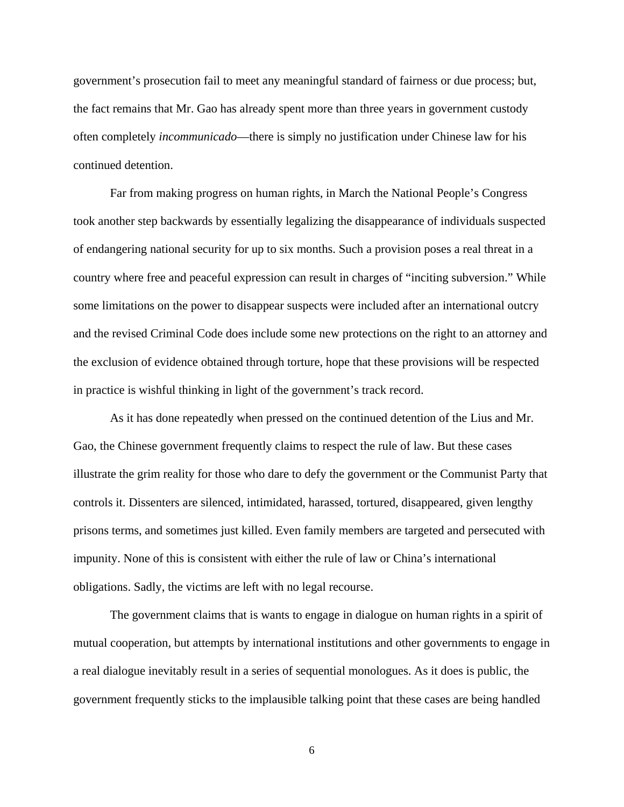government's prosecution fail to meet any meaningful standard of fairness or due process; but, the fact remains that Mr. Gao has already spent more than three years in government custody often completely *incommunicado*—there is simply no justification under Chinese law for his continued detention.

 Far from making progress on human rights, in March the National People's Congress took another step backwards by essentially legalizing the disappearance of individuals suspected of endangering national security for up to six months. Such a provision poses a real threat in a country where free and peaceful expression can result in charges of "inciting subversion." While some limitations on the power to disappear suspects were included after an international outcry and the revised Criminal Code does include some new protections on the right to an attorney and the exclusion of evidence obtained through torture, hope that these provisions will be respected in practice is wishful thinking in light of the government's track record.

As it has done repeatedly when pressed on the continued detention of the Lius and Mr. Gao, the Chinese government frequently claims to respect the rule of law. But these cases illustrate the grim reality for those who dare to defy the government or the Communist Party that controls it. Dissenters are silenced, intimidated, harassed, tortured, disappeared, given lengthy prisons terms, and sometimes just killed. Even family members are targeted and persecuted with impunity. None of this is consistent with either the rule of law or China's international obligations. Sadly, the victims are left with no legal recourse.

The government claims that is wants to engage in dialogue on human rights in a spirit of mutual cooperation, but attempts by international institutions and other governments to engage in a real dialogue inevitably result in a series of sequential monologues. As it does is public, the government frequently sticks to the implausible talking point that these cases are being handled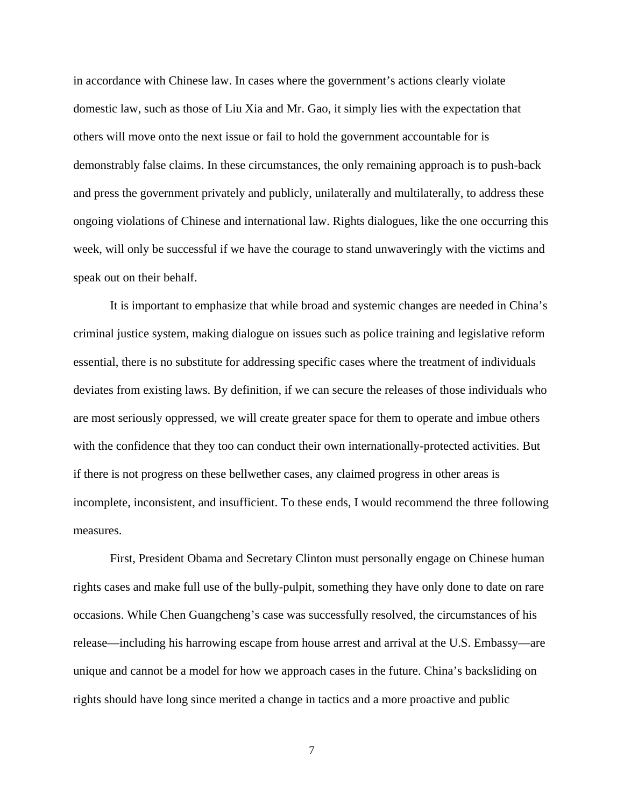in accordance with Chinese law. In cases where the government's actions clearly violate domestic law, such as those of Liu Xia and Mr. Gao, it simply lies with the expectation that others will move onto the next issue or fail to hold the government accountable for is demonstrably false claims. In these circumstances, the only remaining approach is to push-back and press the government privately and publicly, unilaterally and multilaterally, to address these ongoing violations of Chinese and international law. Rights dialogues, like the one occurring this week, will only be successful if we have the courage to stand unwaveringly with the victims and speak out on their behalf.

 It is important to emphasize that while broad and systemic changes are needed in China's criminal justice system, making dialogue on issues such as police training and legislative reform essential, there is no substitute for addressing specific cases where the treatment of individuals deviates from existing laws. By definition, if we can secure the releases of those individuals who are most seriously oppressed, we will create greater space for them to operate and imbue others with the confidence that they too can conduct their own internationally-protected activities. But if there is not progress on these bellwether cases, any claimed progress in other areas is incomplete, inconsistent, and insufficient. To these ends, I would recommend the three following measures.

 First, President Obama and Secretary Clinton must personally engage on Chinese human rights cases and make full use of the bully-pulpit, something they have only done to date on rare occasions. While Chen Guangcheng's case was successfully resolved, the circumstances of his release—including his harrowing escape from house arrest and arrival at the U.S. Embassy—are unique and cannot be a model for how we approach cases in the future. China's backsliding on rights should have long since merited a change in tactics and a more proactive and public